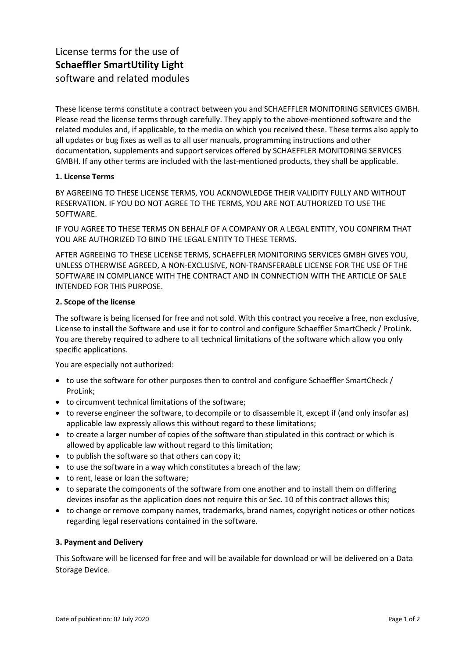# License terms for the use of **Schaeffler SmartUtility Light** software and related modules

These license terms constitute a contract between you and SCHAEFFLER MONITORING SERVICES GMBH. Please read the license terms through carefully. They apply to the above-mentioned software and the related modules and, if applicable, to the media on which you received these. These terms also apply to all updates or bug fixes as well as to all user manuals, programming instructions and other documentation, supplements and support services offered by SCHAEFFLER MONITORING SERVICES GMBH. If any other terms are included with the last-mentioned products, they shall be applicable.

## **1. License Terms**

BY AGREEING TO THESE LICENSE TERMS, YOU ACKNOWLEDGE THEIR VALIDITY FULLY AND WITHOUT RESERVATION. IF YOU DO NOT AGREE TO THE TERMS, YOU ARE NOT AUTHORIZED TO USE THE SOFTWARE.

IF YOU AGREE TO THESE TERMS ON BEHALF OF A COMPANY OR A LEGAL ENTITY, YOU CONFIRM THAT YOU ARE AUTHORIZED TO BIND THE LEGAL ENTITY TO THESE TERMS.

AFTER AGREEING TO THESE LICENSE TERMS, SCHAEFFLER MONITORING SERVICES GMBH GIVES YOU, UNLESS OTHERWISE AGREED, A NON-EXCLUSIVE, NON-TRANSFERABLE LICENSE FOR THE USE OF THE SOFTWARE IN COMPLIANCE WITH THE CONTRACT AND IN CONNECTION WITH THE ARTICLE OF SALE INTENDED FOR THIS PURPOSE.

# **2. Scope of the license**

The software is being licensed for free and not sold. With this contract you receive a free, non exclusive, License to install the Software and use it for to control and configure Schaeffler SmartCheck / ProLink. You are thereby required to adhere to all technical limitations of the software which allow you only specific applications.

You are especially not authorized:

- to use the software for other purposes then to control and configure Schaeffler SmartCheck / ProLink;
- to circumvent technical limitations of the software;
- to reverse engineer the software, to decompile or to disassemble it, except if (and only insofar as) applicable law expressly allows this without regard to these limitations;
- to create a larger number of copies of the software than stipulated in this contract or which is allowed by applicable law without regard to this limitation;
- to publish the software so that others can copy it;
- to use the software in a way which constitutes a breach of the law;
- to rent, lease or loan the software;
- to separate the components of the software from one another and to install them on differing devices insofar as the application does not require this or Sec. 10 of this contract allows this;
- to change or remove company names, trademarks, brand names, copyright notices or other notices regarding legal reservations contained in the software.

## **3. Payment and Delivery**

This Software will be licensed for free and will be available for download or will be delivered on a Data Storage Device.